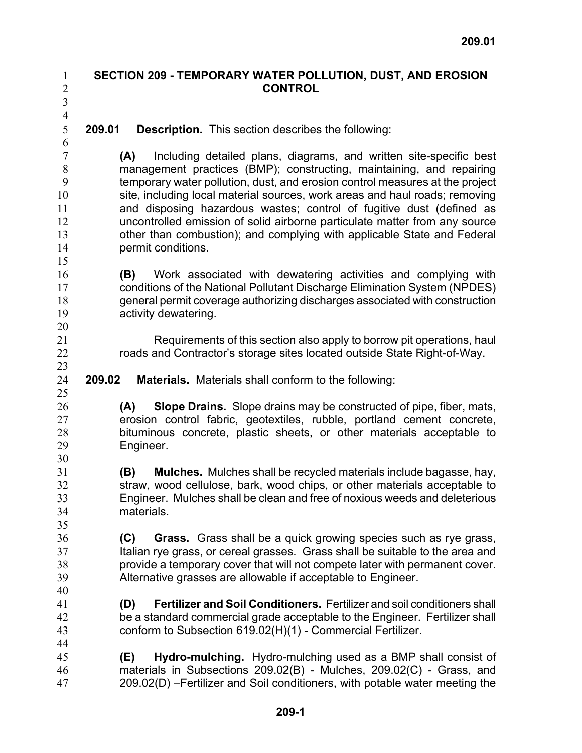## **SECTION 209 - TEMPORARY WATER POLLUTION, DUST, AND EROSION CONTROL**

3 4 5

25

30

35

40

1 2

**209.01 Description.** This section describes the following:

**(A)** Including detailed plans, diagrams, and written site-specific best management practices (BMP); constructing, maintaining, and repairing temporary water pollution, dust, and erosion control measures at the project site, including local material sources, work areas and haul roads; removing and disposing hazardous wastes; control of fugitive dust (defined as uncontrolled emission of solid airborne particulate matter from any source other than combustion); and complying with applicable State and Federal permit conditions.

16 17 18 19 **(B)** Work associated with dewatering activities and complying with conditions of the National Pollutant Discharge Elimination System (NPDES) general permit coverage authorizing discharges associated with construction activity dewatering.

> Requirements of this section also apply to borrow pit operations, haul roads and Contractor's storage sites located outside State Right-of-Way.

- 24 **209.02 Materials.** Materials shall conform to the following:
- 26 27 28 29 **(A) Slope Drains.** Slope drains may be constructed of pipe, fiber, mats, erosion control fabric, geotextiles, rubble, portland cement concrete, bituminous concrete, plastic sheets, or other materials acceptable to Engineer.
- 31 32 33 34 **(B) Mulches.** Mulches shall be recycled materials include bagasse, hay, straw, wood cellulose, bark, wood chips, or other materials acceptable to Engineer. Mulches shall be clean and free of noxious weeds and deleterious materials.
- 36 37 38 39 **(C) Grass.** Grass shall be a quick growing species such as rye grass, Italian rye grass, or cereal grasses. Grass shall be suitable to the area and provide a temporary cover that will not compete later with permanent cover. Alternative grasses are allowable if acceptable to Engineer.
- 41 42 43 44 **(D) Fertilizer and Soil Conditioners.** Fertilizer and soil conditioners shall be a standard commercial grade acceptable to the Engineer. Fertilizer shall conform to Subsection 619.02(H)(1) - Commercial Fertilizer.
- 45 46 47 **(E) Hydro-mulching.** Hydro-mulching used as a BMP shall consist of materials in Subsections 209.02(B) - Mulches, 209.02(C) - Grass, and 209.02(D) –Fertilizer and Soil conditioners, with potable water meeting the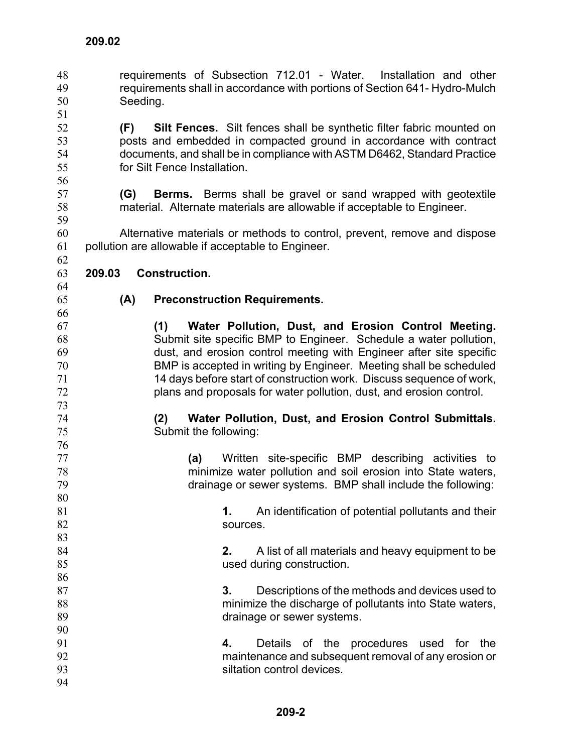requirements of Subsection 712.01 - Water. Installation and other requirements shall in accordance with portions of Section 641- Hydro-Mulch Seeding. 48 49 50 51

52 53 54 55 **(F) Silt Fences.** Silt fences shall be synthetic filter fabric mounted on posts and embedded in compacted ground in accordance with contract documents, and shall be in compliance with ASTM D6462, Standard Practice for Silt Fence Installation.

> **(G) Berms.** Berms shall be gravel or sand wrapped with geotextile material. Alternate materials are allowable if acceptable to Engineer.

60 61 Alternative materials or methods to control, prevent, remove and dispose pollution are allowable if acceptable to Engineer.

- 63 **209.03 Construction.**
- 64

62

65

## **(A) Preconstruction Requirements.**

**(1) Water Pollution, Dust, and Erosion Control Meeting.** Submit site specific BMP to Engineer. Schedule a water pollution, dust, and erosion control meeting with Engineer after site specific BMP is accepted in writing by Engineer. Meeting shall be scheduled 14 days before start of construction work. Discuss sequence of work, plans and proposals for water pollution, dust, and erosion control.

- **(2) Water Pollution, Dust, and Erosion Control Submittals.** Submit the following:
- 76 77 78 79 80 **(a)** Written site-specific BMP describing activities to minimize water pollution and soil erosion into State waters, drainage or sewer systems. BMP shall include the following:
- 81 82 83 **1.** An identification of potential pollutants and their sources.

**2.** A list of all materials and heavy equipment to be used during construction.

- **3.** Descriptions of the methods and devices used to minimize the discharge of pollutants into State waters, drainage or sewer systems.
- **4.** Details of the procedures used for the maintenance and subsequent removal of any erosion or siltation control devices.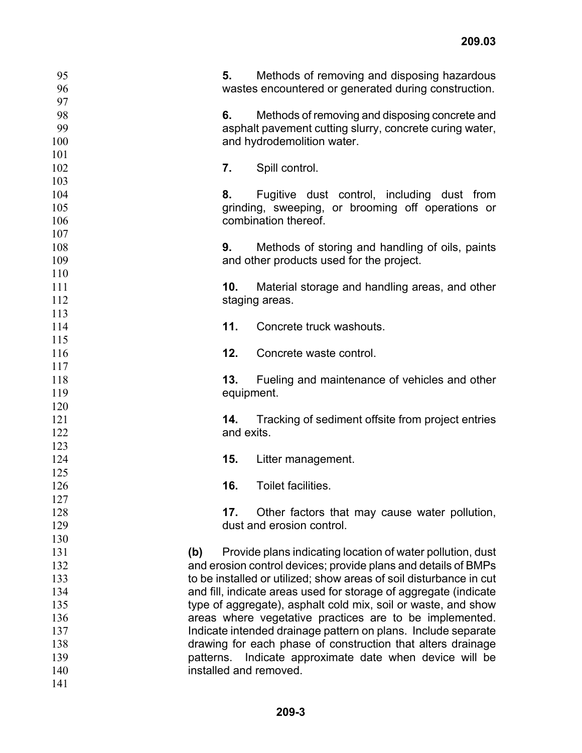| 95         |           | Methods of removing and disposing hazardous<br>5.                                     |
|------------|-----------|---------------------------------------------------------------------------------------|
| 96         |           | wastes encountered or generated during construction.                                  |
| 97         |           |                                                                                       |
| 98<br>99   |           | Methods of removing and disposing concrete and<br>6.                                  |
| 100        |           | asphalt pavement cutting slurry, concrete curing water,<br>and hydrodemolition water. |
| 101        |           |                                                                                       |
| 102        |           | 7.<br>Spill control.                                                                  |
| 103        |           |                                                                                       |
| 104        |           | 8.<br>Fugitive dust control, including dust from                                      |
| 105        |           | grinding, sweeping, or brooming off operations or                                     |
| 106        |           | combination thereof.                                                                  |
| 107        |           |                                                                                       |
| 108        |           | 9.<br>Methods of storing and handling of oils, paints                                 |
| 109        |           | and other products used for the project.                                              |
| 110        |           |                                                                                       |
| 111        |           | 10.<br>Material storage and handling areas, and other                                 |
| 112        |           | staging areas.                                                                        |
| 113        |           |                                                                                       |
| 114        |           | 11.<br>Concrete truck washouts.                                                       |
| 115        |           |                                                                                       |
| 116        |           | 12.<br>Concrete waste control.                                                        |
| 117        |           |                                                                                       |
| 118        |           | 13.<br>Fueling and maintenance of vehicles and other                                  |
| 119        |           | equipment.                                                                            |
| 120        |           |                                                                                       |
| 121        |           | Tracking of sediment offsite from project entries<br>14.                              |
| 122        |           | and exits.                                                                            |
| 123        |           |                                                                                       |
| 124        |           | 15.<br>Litter management.                                                             |
| 125        |           |                                                                                       |
| 126        |           | Toilet facilities.<br>16.                                                             |
| 127<br>128 |           | 17.<br>Other factors that may cause water pollution,                                  |
| 129        |           | dust and erosion control.                                                             |
| 130        |           |                                                                                       |
| 131        | (b)       | Provide plans indicating location of water pollution, dust                            |
| 132        |           | and erosion control devices; provide plans and details of BMPs                        |
| 133        |           | to be installed or utilized; show areas of soil disturbance in cut                    |
| 134        |           | and fill, indicate areas used for storage of aggregate (indicate                      |
| 135        |           | type of aggregate), asphalt cold mix, soil or waste, and show                         |
| 136        |           | areas where vegetative practices are to be implemented.                               |
| 137        |           | Indicate intended drainage pattern on plans. Include separate                         |
| 138        |           | drawing for each phase of construction that alters drainage                           |
| 139        | patterns. | Indicate approximate date when device will be                                         |
| 140        |           | installed and removed.                                                                |
| 141        |           |                                                                                       |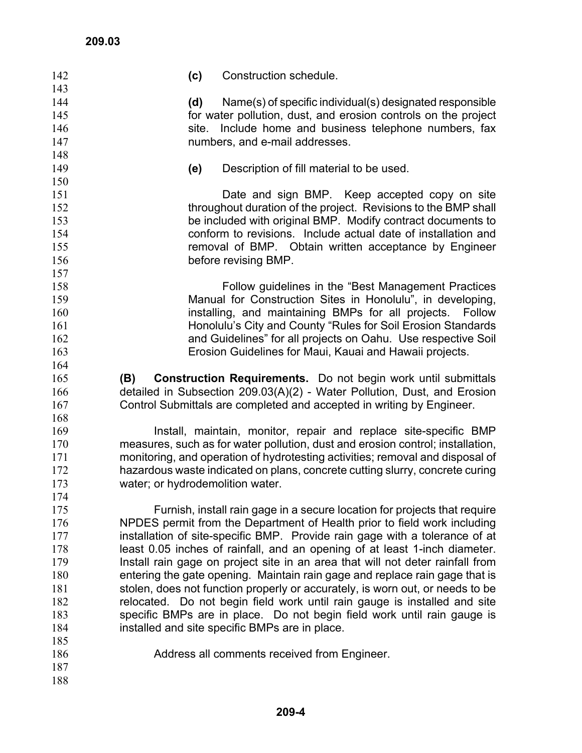| (c)<br>Construction schedule.<br>142                                                  |  |
|---------------------------------------------------------------------------------------|--|
| 143                                                                                   |  |
| 144<br>(d)<br>Name(s) of specific individual(s) designated responsible                |  |
| for water pollution, dust, and erosion controls on the project<br>145                 |  |
| site. Include home and business telephone numbers, fax<br>146                         |  |
| 147<br>numbers, and e-mail addresses.                                                 |  |
| 148                                                                                   |  |
| 149<br>Description of fill material to be used.<br>(e)                                |  |
| 150                                                                                   |  |
| 151<br>Date and sign BMP. Keep accepted copy on site                                  |  |
| throughout duration of the project. Revisions to the BMP shall<br>152                 |  |
| 153<br>be included with original BMP. Modify contract documents to                    |  |
| conform to revisions. Include actual date of installation and<br>154                  |  |
| 155<br>removal of BMP. Obtain written acceptance by Engineer                          |  |
| 156<br>before revising BMP.                                                           |  |
| 157                                                                                   |  |
| 158<br>Follow guidelines in the "Best Management Practices"                           |  |
| 159<br>Manual for Construction Sites in Honolulu", in developing,                     |  |
| installing, and maintaining BMPs for all projects. Follow<br>160                      |  |
| Honolulu's City and County "Rules for Soil Erosion Standards<br>161                   |  |
| and Guidelines" for all projects on Oahu. Use respective Soil<br>162                  |  |
| 163<br>Erosion Guidelines for Maui, Kauai and Hawaii projects.                        |  |
| 164                                                                                   |  |
| 165<br><b>Construction Requirements.</b> Do not begin work until submittals<br>(B)    |  |
| detailed in Subsection 209.03(A)(2) - Water Pollution, Dust, and Erosion<br>166       |  |
| Control Submittals are completed and accepted in writing by Engineer.<br>167          |  |
| 168                                                                                   |  |
| 169<br>Install, maintain, monitor, repair and replace site-specific BMP               |  |
| measures, such as for water pollution, dust and erosion control; installation,<br>170 |  |
| monitoring, and operation of hydrotesting activities; removal and disposal of<br>171  |  |
| hazardous waste indicated on plans, concrete cutting slurry, concrete curing<br>172   |  |
| water; or hydrodemolition water.<br>173                                               |  |
| 174                                                                                   |  |
| 175<br>Furnish, install rain gage in a secure location for projects that require      |  |
| NPDES permit from the Department of Health prior to field work including<br>176       |  |
| installation of site-specific BMP. Provide rain gage with a tolerance of at<br>177    |  |
|                                                                                       |  |
|                                                                                       |  |
| least 0.05 inches of rainfall, and an opening of at least 1-inch diameter.<br>178     |  |
| Install rain gage on project site in an area that will not deter rainfall from<br>179 |  |
| 180<br>entering the gate opening. Maintain rain gage and replace rain gage that is    |  |
| stolen, does not function properly or accurately, is worn out, or needs to be<br>181  |  |
| relocated. Do not begin field work until rain gauge is installed and site<br>182      |  |
| 183<br>specific BMPs are in place. Do not begin field work until rain gauge is        |  |
| 184<br>installed and site specific BMPs are in place.                                 |  |
| 185                                                                                   |  |
| 186<br>Address all comments received from Engineer.<br>187                            |  |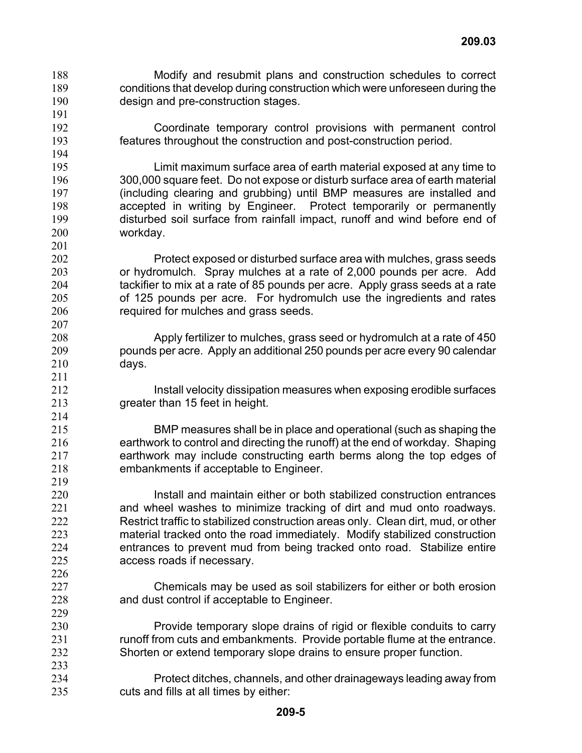Modify and resubmit plans and construction schedules to correct conditions that develop during construction which were unforeseen during the design and pre-construction stages. 188 189 190

219

- Coordinate temporary control provisions with permanent control features throughout the construction and post-construction period.
- Limit maximum surface area of earth material exposed at any time to 300,000 square feet. Do not expose or disturb surface area of earth material (including clearing and grubbing) until BMP measures are installed and accepted in writing by Engineer. Protect temporarily or permanently disturbed soil surface from rainfall impact, runoff and wind before end of workday.
- Protect exposed or disturbed surface area with mulches, grass seeds or hydromulch. Spray mulches at a rate of 2,000 pounds per acre. Add tackifier to mix at a rate of 85 pounds per acre. Apply grass seeds at a rate of 125 pounds per acre. For hydromulch use the ingredients and rates required for mulches and grass seeds.
	- Apply fertilizer to mulches, grass seed or hydromulch at a rate of 450 pounds per acre. Apply an additional 250 pounds per acre every 90 calendar days.
	- Install velocity dissipation measures when exposing erodible surfaces greater than 15 feet in height.
- 215 216 217 218 BMP measures shall be in place and operational (such as shaping the earthwork to control and directing the runoff) at the end of workday. Shaping earthwork may include constructing earth berms along the top edges of embankments if acceptable to Engineer.
- 220 221 222 223 224 225 Install and maintain either or both stabilized construction entrances and wheel washes to minimize tracking of dirt and mud onto roadways. Restrict traffic to stabilized construction areas only. Clean dirt, mud, or other material tracked onto the road immediately. Modify stabilized construction entrances to prevent mud from being tracked onto road. Stabilize entire access roads if necessary.
	- Chemicals may be used as soil stabilizers for either or both erosion and dust control if acceptable to Engineer.
- 230 231 232 233 Provide temporary slope drains of rigid or flexible conduits to carry runoff from cuts and embankments. Provide portable flume at the entrance. Shorten or extend temporary slope drains to ensure proper function.
- 234 235 Protect ditches, channels, and other drainageways leading away from cuts and fills at all times by either: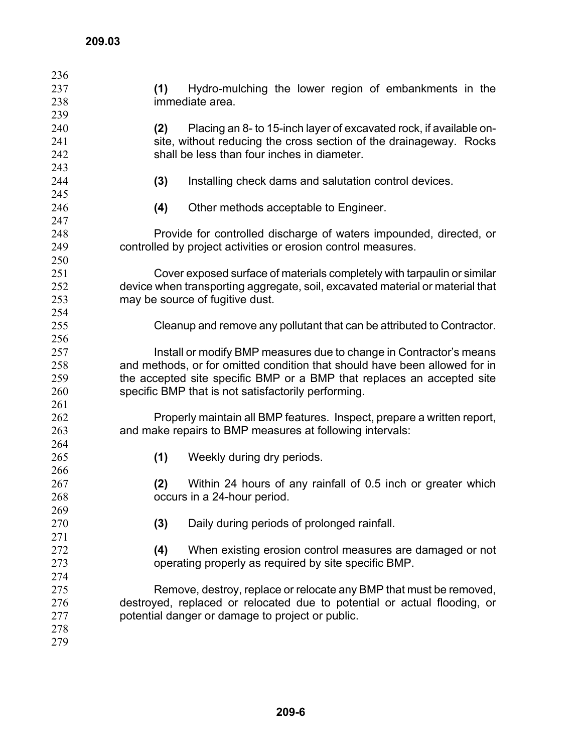| 236 |                                                                               |  |
|-----|-------------------------------------------------------------------------------|--|
| 237 | Hydro-mulching the lower region of embankments in the<br>(1)                  |  |
| 238 | immediate area.                                                               |  |
| 239 |                                                                               |  |
| 240 | Placing an 8- to 15-inch layer of excavated rock, if available on-<br>(2)     |  |
| 241 | site, without reducing the cross section of the drainageway. Rocks            |  |
| 242 | shall be less than four inches in diameter.                                   |  |
| 243 |                                                                               |  |
| 244 | (3)<br>Installing check dams and salutation control devices.                  |  |
| 245 |                                                                               |  |
| 246 | (4)<br>Other methods acceptable to Engineer.                                  |  |
| 247 |                                                                               |  |
| 248 | Provide for controlled discharge of waters impounded, directed, or            |  |
| 249 | controlled by project activities or erosion control measures.                 |  |
| 250 |                                                                               |  |
| 251 | Cover exposed surface of materials completely with tarpaulin or similar       |  |
| 252 | device when transporting aggregate, soil, excavated material or material that |  |
| 253 | may be source of fugitive dust.                                               |  |
| 254 |                                                                               |  |
| 255 | Cleanup and remove any pollutant that can be attributed to Contractor.        |  |
| 256 |                                                                               |  |
| 257 | Install or modify BMP measures due to change in Contractor's means            |  |
| 258 | and methods, or for omitted condition that should have been allowed for in    |  |
| 259 | the accepted site specific BMP or a BMP that replaces an accepted site        |  |
| 260 | specific BMP that is not satisfactorily performing.                           |  |
| 261 |                                                                               |  |
| 262 | Properly maintain all BMP features. Inspect, prepare a written report,        |  |
| 263 | and make repairs to BMP measures at following intervals:                      |  |
| 264 |                                                                               |  |
| 265 | (1)<br>Weekly during dry periods.                                             |  |
| 266 |                                                                               |  |
| 267 | (2)<br>Within 24 hours of any rainfall of 0.5 inch or greater which           |  |
| 268 | occurs in a 24-hour period.                                                   |  |
| 269 |                                                                               |  |
| 270 | Daily during periods of prolonged rainfall.<br>(3)                            |  |
| 271 |                                                                               |  |
| 272 | When existing erosion control measures are damaged or not<br>(4)              |  |
| 273 | operating properly as required by site specific BMP.                          |  |
| 274 |                                                                               |  |
| 275 | Remove, destroy, replace or relocate any BMP that must be removed,            |  |
| 276 | destroyed, replaced or relocated due to potential or actual flooding, or      |  |
| 277 | potential danger or damage to project or public.                              |  |
| 278 |                                                                               |  |
| 279 |                                                                               |  |
|     |                                                                               |  |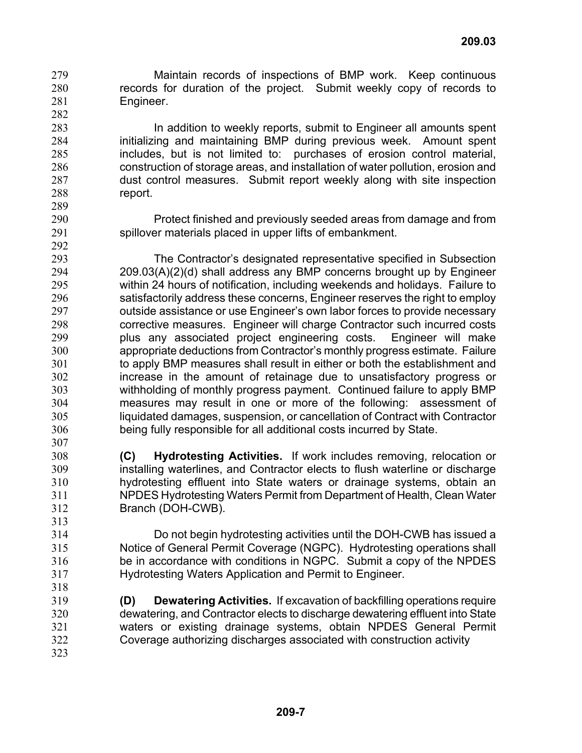Maintain records of inspections of BMP work. Keep continuous records for duration of the project. Submit weekly copy of records to Engineer. 279 280 281

307

313

318

In addition to weekly reports, submit to Engineer all amounts spent initializing and maintaining BMP during previous week. Amount spent includes, but is not limited to: purchases of erosion control material, construction of storage areas, and installation of water pollution, erosion and dust control measures. Submit report weekly along with site inspection report.

Protect finished and previously seeded areas from damage and from spillover materials placed in upper lifts of embankment.

293 294 295 296 297 298 299 300 301 302 303 304 305 306 The Contractor's designated representative specified in Subsection 209.03(A)(2)(d) shall address any BMP concerns brought up by Engineer within 24 hours of notification, including weekends and holidays. Failure to satisfactorily address these concerns, Engineer reserves the right to employ outside assistance or use Engineer's own labor forces to provide necessary corrective measures. Engineer will charge Contractor such incurred costs plus any associated project engineering costs. Engineer will make appropriate deductions from Contractor's monthly progress estimate. Failure to apply BMP measures shall result in either or both the establishment and increase in the amount of retainage due to unsatisfactory progress or withholding of monthly progress payment. Continued failure to apply BMP measures may result in one or more of the following: assessment of liquidated damages, suspension, or cancellation of Contract with Contractor being fully responsible for all additional costs incurred by State.

308 309 310 311 312 **(C) Hydrotesting Activities.** If work includes removing, relocation or installing waterlines, and Contractor elects to flush waterline or discharge hydrotesting effluent into State waters or drainage systems, obtain an NPDES Hydrotesting Waters Permit from Department of Health, Clean Water Branch (DOH-CWB).

314 315 316 317 Do not begin hydrotesting activities until the DOH-CWB has issued a Notice of General Permit Coverage (NGPC). Hydrotesting operations shall be in accordance with conditions in NGPC. Submit a copy of the NPDES Hydrotesting Waters Application and Permit to Engineer.

319 320 321 322 323 **(D) Dewatering Activities.** If excavation of backfilling operations require dewatering, and Contractor elects to discharge dewatering effluent into State waters or existing drainage systems, obtain NPDES General Permit Coverage authorizing discharges associated with construction activity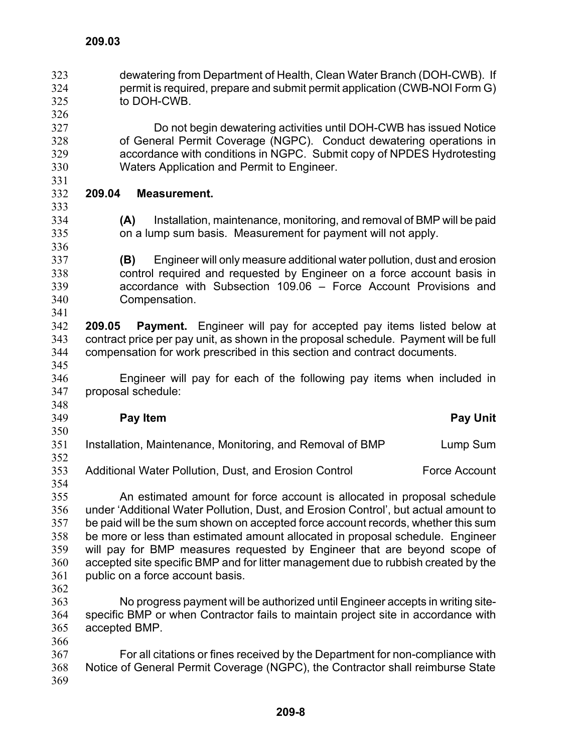dewatering from Department of Health, Clean Water Branch (DOH-CWB). If permit is required, prepare and submit permit application (CWB-NOI Form G) to DOH-CWB. 323 324 325 326 327 328 329 330 331 332 333 334 335 336 337 338 339 340 341 342 343 344 345 346 347 348 349 350 351 352 353 354 355 356 357 358 359 360 361 362 363 364 365 366 367 368 369 Do not begin dewatering activities until DOH-CWB has issued Notice of General Permit Coverage (NGPC). Conduct dewatering operations in accordance with conditions in NGPC. Submit copy of NPDES Hydrotesting Waters Application and Permit to Engineer. **209.04 Measurement. (A)** Installation, maintenance, monitoring, and removal of BMP will be paid on a lump sum basis. Measurement for payment will not apply. **(B)** Engineer will only measure additional water pollution, dust and erosion control required and requested by Engineer on a force account basis in accordance with Subsection 109.06 – Force Account Provisions and Compensation. **209.05 Payment.** Engineer will pay for accepted pay items listed below at contract price per pay unit, as shown in the proposal schedule. Payment will be full compensation for work prescribed in this section and contract documents. Engineer will pay for each of the following pay items when included in proposal schedule: **Pay Item Contract Contract Contract Contract Contract Contract Contract Contract Contract Contract Contract Contract Contract Contract Contract Contract Contract Contract Contract Contract Contract Contract Contract Contr** Installation, Maintenance, Monitoring, and Removal of BMP Lump Sum Additional Water Pollution, Dust, and Erosion Control Force Account An estimated amount for force account is allocated in proposal schedule under 'Additional Water Pollution, Dust, and Erosion Control', but actual amount to be paid will be the sum shown on accepted force account records, whether this sum be more or less than estimated amount allocated in proposal schedule. Engineer will pay for BMP measures requested by Engineer that are beyond scope of accepted site specific BMP and for litter management due to rubbish created by the public on a force account basis. No progress payment will be authorized until Engineer accepts in writing sitespecific BMP or when Contractor fails to maintain project site in accordance with accepted BMP. For all citations or fines received by the Department for non-compliance with Notice of General Permit Coverage (NGPC), the Contractor shall reimburse State